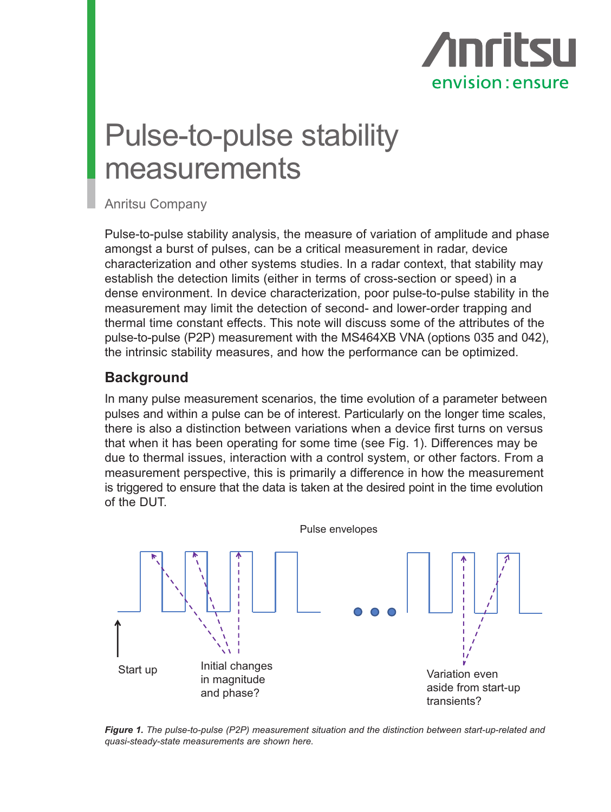

## Pulse-to-pulse stability measurements

Anritsu Company

Pulse-to-pulse stability analysis, the measure of variation of amplitude and phase amongst a burst of pulses, can be a critical measurement in radar, device characterization and other systems studies. In a radar context, that stability may establish the detection limits (either in terms of cross-section or speed) in a dense environment. In device characterization, poor pulse-to-pulse stability in the measurement may limit the detection of second- and lower-order trapping and thermal time constant effects. This note will discuss some of the attributes of the pulse-to-pulse (P2P) measurement with the MS464XB VNA (options 035 and 042), the intrinsic stability measures, and how the performance can be optimized.

### **Background**

In many pulse measurement scenarios, the time evolution of a parameter between pulses and within a pulse can be of interest. Particularly on the longer time scales, there is also a distinction between variations when a device first turns on versus that when it has been operating for some time (see Fig. 1). Differences may be due to thermal issues, interaction with a control system, or other factors. From a measurement perspective, this is primarily a difference in how the measurement is triggered to ensure that the data is taken at the desired point in the time evolution of the DUT.



*Figure 1. The pulse-to-pulse (P2P) measurement situation and the distinction between start-up-related and quasi-steady-state measurements are shown here.*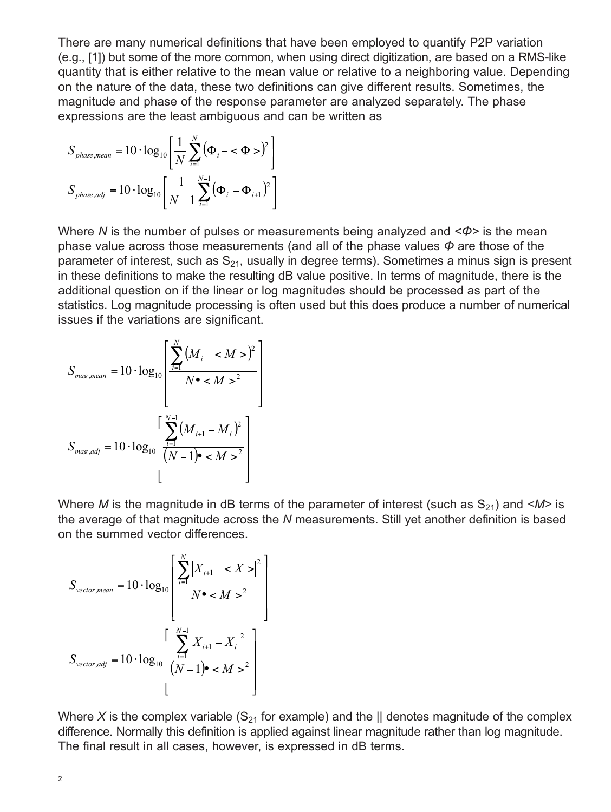There are many numerical definitions that have been employed to quantify P2P variation (e.g., [1]) but some of the more common, when using direct digitization, are based on a RMS-like quantity that is either relative to the mean value or relative to a neighboring value. Depending on the nature of the data, these two definitions can give different results. Sometimes, the magnitude and phase of the response parameter are analyzed separately. The phase expressions are the least ambiguous and can be written as

$$
S_{phase,mean} = 10 \cdot \log_{10} \left[ \frac{1}{N} \sum_{i=1}^{N} (\Phi_i - \Phi_i)^2 \right]
$$
  

$$
S_{phase,adj} = 10 \cdot \log_{10} \left[ \frac{1}{N - 1} \sum_{i=1}^{N-1} (\Phi_i - \Phi_{i+1})^2 \right]
$$

Where *N* is the number of pulses or measurements being analyzed and < $\phi$ > is the mean Where *N* is the number of pulses or measurements being analyzed and <Φ> is the mean<br>phase value across those measurements (and all of the phase values *Φ* are those of the parameter of interest, such as S<sub>21</sub>, usually in degree terms). Sometimes a minus sign is present in these definitions to make the resulting dB value positive. In terms of magnitude, there is the editional question on if the linear or log magnitudes should be presented as part of the additional question on if the linear or log magnitudes should be processed as part of the statistics. Log magnitude processing is often used but this does produce a number of numerical = 1 *i* issues if the variations are significant. = + = 1 *i*  $\overline{\phantom{a}}$ nal question on if the linear or *litional question on if the linear o* ditional question on if the linear or l *S* e variations are s ,  $10<sub>10</sub>$ *phase adj i i S* .<br>د ا

$$
S_{mag,mean} = 10 \cdot \log_{10} \left[ \frac{\sum_{i=1}^{N} (M_i - )^2}{N \cdot ^2} \right]
$$
  

$$
S_{mag,adj} = 10 \cdot \log_{10} \left[ \frac{\sum_{i=1}^{N-1} (M_{i+1} - M_i)^2}{(N-1) \cdot ^2} \right]
$$

Where *M* is the magnitude in dB terms of the parameter of interest (such as  $S_{21}$ ) and  $\langle M \rangle$  is the average of that magnitude across the N measurements. Still yet another definition is based are average or that magintate acro.<br>on the summed vector differences.  $\mathbf{r}$ 1 1  $5$  UI LIICI r differenc <del>s</del> average or triat magnitude acros:<br>I the summed vector differences *I* is the magnitude in dR *i* gnitude across .<br>اذ 1 nuu<del>c</del> acn<br>ffarancas *S i i*

$$
S_{vector,mean} = 10 \cdot \log_{10} \left[ \frac{\sum_{i=1}^{N} |X_{i+1} - \langle X \rangle|^2}{N \cdot \langle M \rangle^2} \right]
$$

$$
S_{vector,adj} = 10 \cdot \log_{10} \left[ \frac{\sum_{i=1}^{N-1} |X_{i+1} - X_i|^2}{(N-1) \cdot \langle M \rangle^2} \right]
$$

Where X is the complex variable  $(S_{21}$  for example) and the  $\parallel$  denotes magnitude of the complex difference. Normally this definition is applied against linear magnitude rather than log magnitude. The final result in all cases, however, is expressed in dB terms.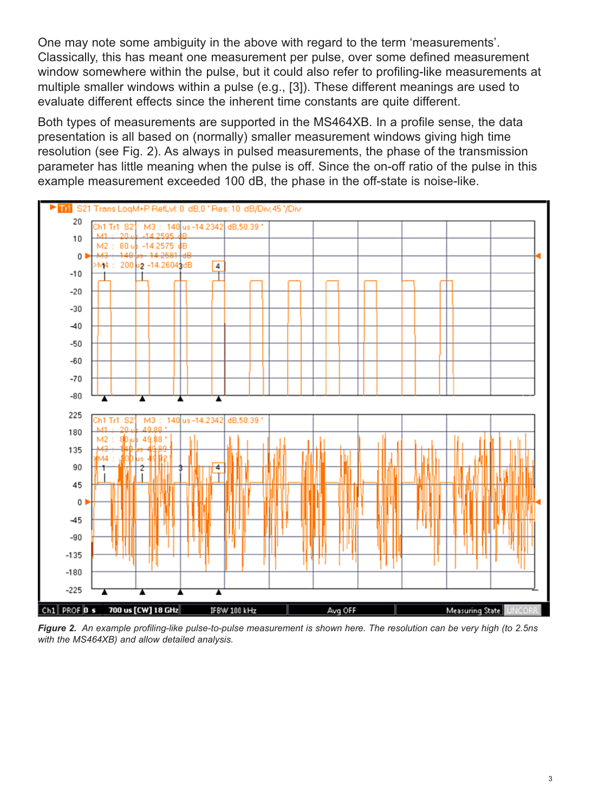One may note some ambiguity in the above with regard to the term 'measurements'. Classically, this has meant one measurement per pulse, over some defined measurement window somewhere within the pulse, but it could also refer to profiling-like measurements at multiple smaller windows within a pulse (e.g., [3]). These different meanings are used to evaluate different effects since the inherent time constants are quite different.

Both types of measurements are supported in the MS464XB. In a profile sense, the data presentation is all based on (normally) smaller measurement windows giving high time resolution (see Fig. 2). As always in pulsed measurements, the phase of the transmission parameter has little meaning when the pulse is off. Since the on-off ratio of the pulse in this example measurement exceeded 100 dB, the phase in the off-state is noise-like.



*Figure 2. An example profiling-like pulse-to-pulse measurement is shown here. The resolution can be very high (to 2.5ns with the MS464XB) and allow detailed analysis.*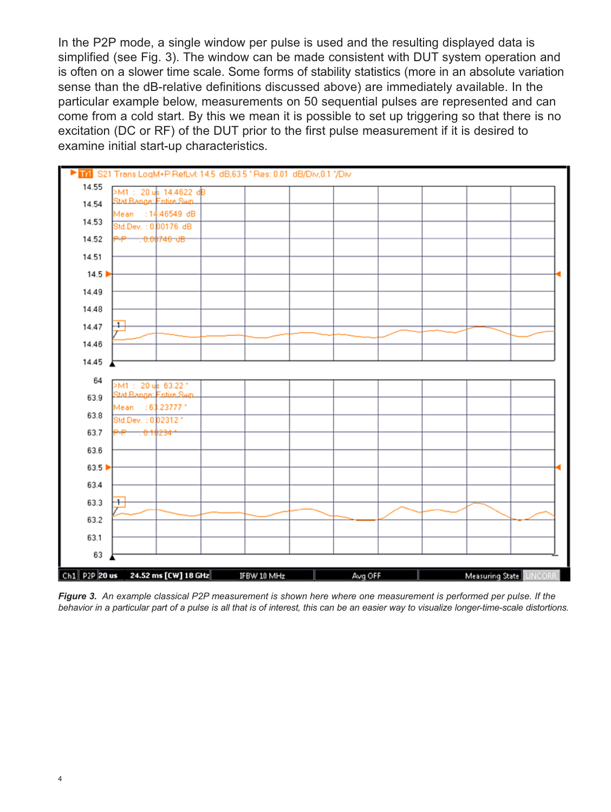In the P2P mode, a single window per pulse is used and the resulting displayed data is simplified (see Fig. 3). The window can be made consistent with DUT system operation and is often on a slower time scale. Some forms of stability statistics (more in an absolute variation sense than the dB-relative definitions discussed above) are immediately available. In the particular example below, measurements on 50 sequential pulses are represented and can come from a cold start. By this we mean it is possible to set up triggering so that there is no excitation (DC or RF) of the DUT prior to the first pulse measurement if it is desired to examine initial start-up characteristics.



*Figure 3. An example classical P2P measurement is shown here where one measurement is performed per pulse. If the behavior in a particular part of a pulse is all that is of interest, this can be an easier way to visualize longer-time-scale distortions.*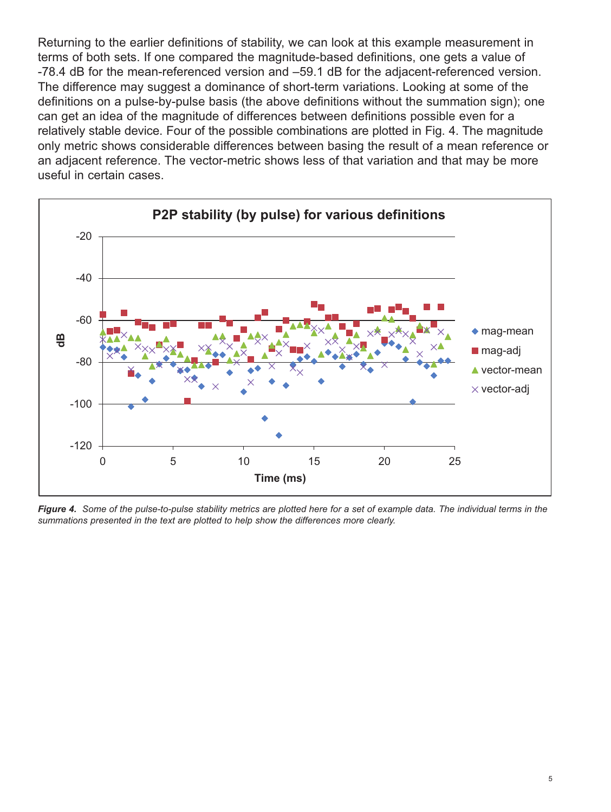Returning to the earlier definitions of stability, we can look at this example measurement in terms of both sets. If one compared the magnitude-based definitions, one gets a value of -78.4 dB for the mean-referenced version and –59.1 dB for the adjacent-referenced version. The difference may suggest a dominance of short-term variations. Looking at some of the definitions on a pulse-by-pulse basis (the above definitions without the summation sign); one can get an idea of the magnitude of differences between definitions possible even for a relatively stable device. Four of the possible combinations are plotted in Fig. 4. The magnitude only metric shows considerable differences between basing the result of a mean reference or an adjacent reference. The vector-metric shows less of that variation and that may be more useful in certain cases.



*Figure 4. Some of the pulse-to-pulse stability metrics are plotted here for a set of example data. The individual terms in the summations presented in the text are plotted to help show the differences more clearly.*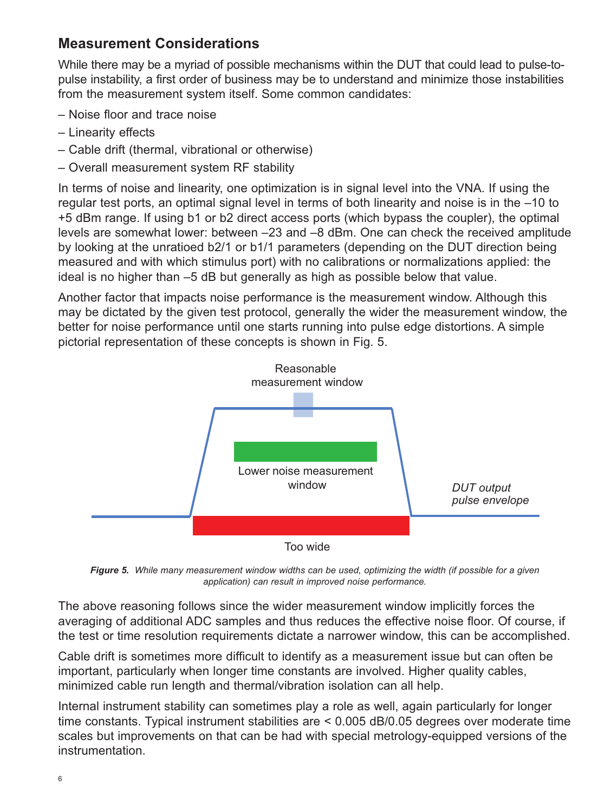## **Measurement Considerations**

While there may be a myriad of possible mechanisms within the DUT that could lead to pulse-topulse instability, a first order of business may be to understand and minimize those instabilities from the measurement system itself. Some common candidates:

- Noise floor and trace noise
- Linearity effects
- Cable drift (thermal, vibrational or otherwise)
- Overall measurement system RF stability

In terms of noise and linearity, one optimization is in signal level into the VNA. If using the regular test ports, an optimal signal level in terms of both linearity and noise is in the –10 to +5 dBm range. If using b1 or b2 direct access ports (which bypass the coupler), the optimal levels are somewhat lower: between –23 and –8 dBm. One can check the received amplitude by looking at the unratioed b2/1 or b1/1 parameters (depending on the DUT direction being measured and with which stimulus port) with no calibrations or normalizations applied: the ideal is no higher than –5 dB but generally as high as possible below that value.

Another factor that impacts noise performance is the measurement window. Although this may be dictated by the given test protocol, generally the wider the measurement window, the better for noise performance until one starts running into pulse edge distortions. A simple pictorial representation of these concepts is shown in Fig. 5.



*Figure 5. While many measurement window widths can be used, optimizing the width (if possible for a given application) can result in improved noise performance.*

The above reasoning follows since the wider measurement window implicitly forces the averaging of additional ADC samples and thus reduces the effective noise floor. Of course, if the test or time resolution requirements dictate a narrower window, this can be accomplished.

Cable drift is sometimes more difficult to identify as a measurement issue but can often be important, particularly when longer time constants are involved. Higher quality cables, minimized cable run length and thermal/vibration isolation can all help.

Internal instrument stability can sometimes play a role as well, again particularly for longer time constants. Typical instrument stabilities are < 0.005 dB/0.05 degrees over moderate time scales but improvements on that can be had with special metrology-equipped versions of the instrumentation.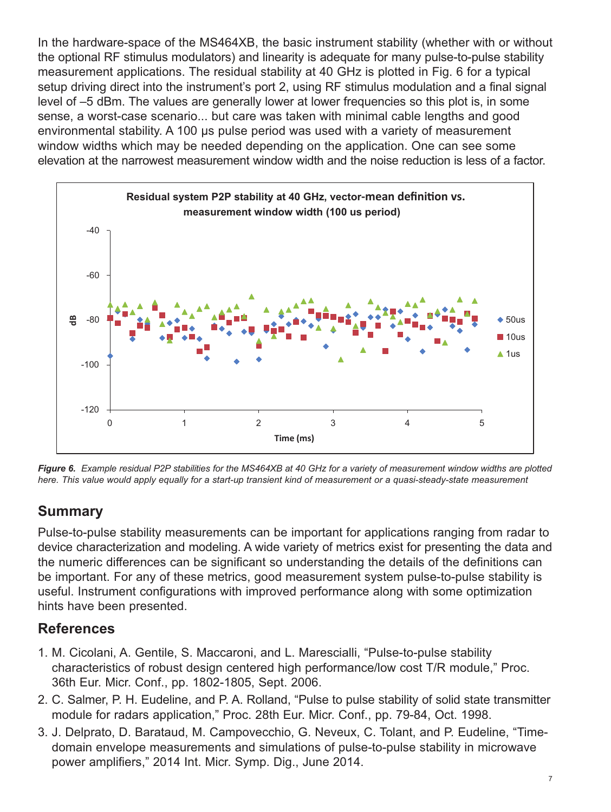In the hardware-space of the MS464XB, the basic instrument stability (whether with or without the optional RF stimulus modulators) and linearity is adequate for many pulse-to-pulse stability measurement applications. The residual stability at 40 GHz is plotted in Fig. 6 for a typical setup driving direct into the instrument's port 2, using RF stimulus modulation and a final signal level of –5 dBm. The values are generally lower at lower frequencies so this plot is, in some sense, a worst-case scenario... but care was taken with minimal cable lengths and good environmental stability. A 100 μs pulse period was used with a variety of measurement window widths which may be needed depending on the application. One can see some elevation at the narrowest measurement window width and the noise reduction is less of a factor.



*Figure 6. Example residual P2P stabilities for the MS464XB at 40 GHz for a variety of measurement window widths are plotted here. This value would apply equally for a start-up transient kind of measurement or a quasi-steady-state measurement*

## **Summary**

Pulse-to-pulse stability measurements can be important for applications ranging from radar to device characterization and modeling. A wide variety of metrics exist for presenting the data and the numeric differences can be significant so understanding the details of the definitions can be important. For any of these metrics, good measurement system pulse-to-pulse stability is useful. Instrument configurations with improved performance along with some optimization hints have been presented.

## **References**

- 1. M. Cicolani, A. Gentile, S. Maccaroni, and L. Marescialli, "Pulse-to-pulse stability characteristics of robust design centered high performance/low cost T/R module," Proc. 36th Eur. Micr. Conf., pp. 1802-1805, Sept. 2006.
- 2. C. Salmer, P. H. Eudeline, and P. A. Rolland, "Pulse to pulse stability of solid state transmitter module for radars application," Proc. 28th Eur. Micr. Conf., pp. 79-84, Oct. 1998.
- 3. J. Delprato, D. Barataud, M. Campovecchio, G. Neveux, C. Tolant, and P. Eudeline, "Timedomain envelope measurements and simulations of pulse-to-pulse stability in microwave power amplifiers," 2014 Int. Micr. Symp. Dig., June 2014.